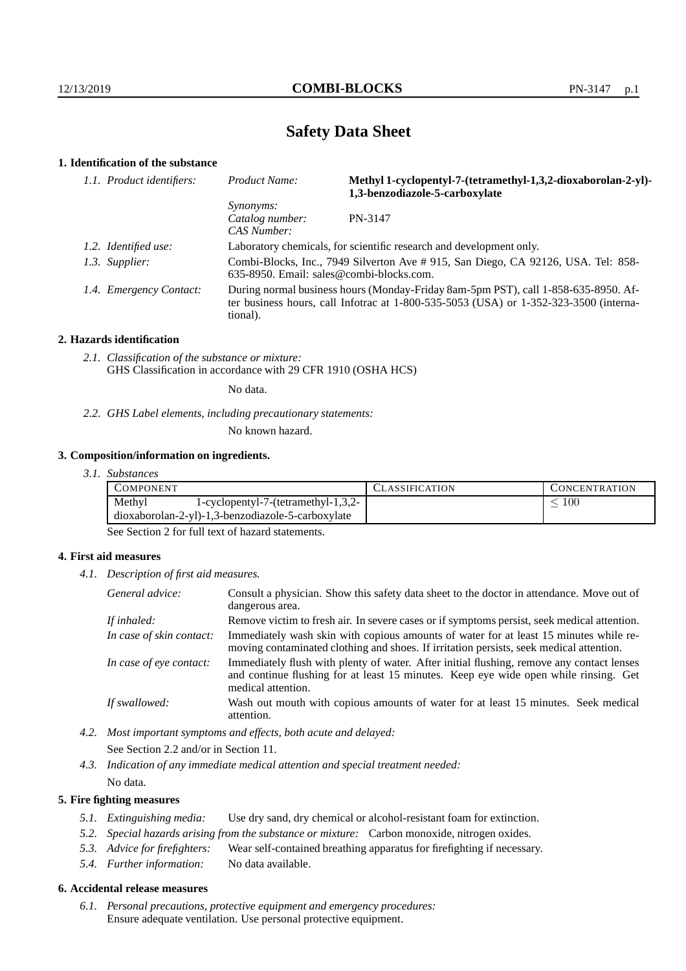# **Safety Data Sheet**

# **1. Identification of the substance**

| 1.1. Product identifiers: | Product Name:                                                                                                                                                                           | Methyl 1-cyclopentyl-7-(tetramethyl-1,3,2-dioxaborolan-2-yl)-<br>1,3-benzodiazole-5-carboxylate |  |
|---------------------------|-----------------------------------------------------------------------------------------------------------------------------------------------------------------------------------------|-------------------------------------------------------------------------------------------------|--|
|                           | <i>Synonyms:</i><br>Catalog number:<br>CAS Number:                                                                                                                                      | PN-3147                                                                                         |  |
| 1.2. Identified use:      | Laboratory chemicals, for scientific research and development only.                                                                                                                     |                                                                                                 |  |
| 1.3. Supplier:            | Combi-Blocks, Inc., 7949 Silverton Ave # 915, San Diego, CA 92126, USA. Tel: 858-<br>$635-8950$ . Email: sales@combi-blocks.com.                                                        |                                                                                                 |  |
| 1.4. Emergency Contact:   | During normal business hours (Monday-Friday 8am-5pm PST), call 1-858-635-8950. Af-<br>ter business hours, call Infotrac at 1-800-535-5053 (USA) or 1-352-323-3500 (interna-<br>tional). |                                                                                                 |  |

#### **2. Hazards identification**

*2.1. Classification of the substance or mixture:* GHS Classification in accordance with 29 CFR 1910 (OSHA HCS)

No data.

*2.2. GHS Label elements, including precautionary statements:*

No known hazard.

## **3. Composition/information on ingredients.**

*3.1. Substances*

| <b>COMPONENT</b>                                    | '.`LASSIFICATION | <b>CONCENTRATION</b> |
|-----------------------------------------------------|------------------|----------------------|
| Methyl<br>1-cyclopentyl-7-(tetramethyl-1,3,2-       |                  | 100                  |
| $dioxaborolan-2-yl)-1,3-benzodiazole-5-carboxylate$ |                  |                      |

See Section 2 for full text of hazard statements.

## **4. First aid measures**

*4.1. Description of first aid measures.*

| General advice:          | Consult a physician. Show this safety data sheet to the doctor in attendance. Move out of<br>dangerous area.                                                                                            |
|--------------------------|---------------------------------------------------------------------------------------------------------------------------------------------------------------------------------------------------------|
| If inhaled:              | Remove victim to fresh air. In severe cases or if symptoms persist, seek medical attention.                                                                                                             |
| In case of skin contact: | Immediately wash skin with copious amounts of water for at least 15 minutes while re-<br>moving contaminated clothing and shoes. If irritation persists, seek medical attention.                        |
| In case of eye contact:  | Immediately flush with plenty of water. After initial flushing, remove any contact lenses<br>and continue flushing for at least 15 minutes. Keep eye wide open while rinsing. Get<br>medical attention. |
| If swallowed:            | Wash out mouth with copious amounts of water for at least 15 minutes. Seek medical<br>attention.                                                                                                        |

*4.2. Most important symptoms and effects, both acute and delayed:* See Section 2.2 and/or in Section 11.

*4.3. Indication of any immediate medical attention and special treatment needed:* No data.

## **5. Fire fighting measures**

- *5.1. Extinguishing media:* Use dry sand, dry chemical or alcohol-resistant foam for extinction.
- *5.2. Special hazards arising from the substance or mixture:* Carbon monoxide, nitrogen oxides.
- *5.3. Advice for firefighters:* Wear self-contained breathing apparatus for firefighting if necessary.
- *5.4. Further information:* No data available.

## **6. Accidental release measures**

*6.1. Personal precautions, protective equipment and emergency procedures:* Ensure adequate ventilation. Use personal protective equipment.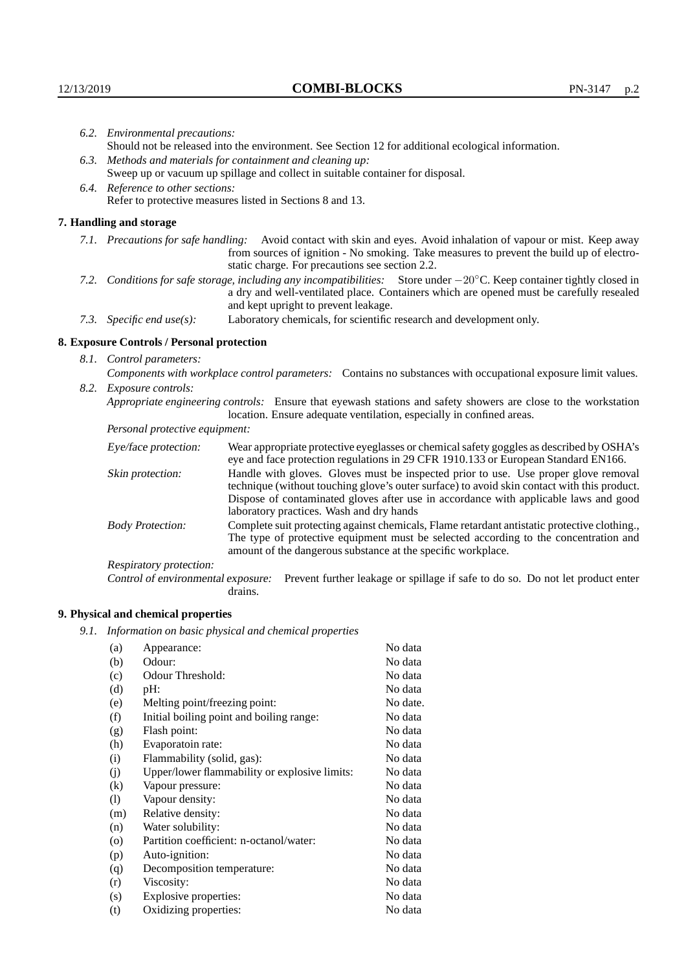|                                                                                                                                                                                                        | 6.2. Environmental precautions:                                                                                                                                                                                                                                     |                                                                                                                                                                                |  |
|--------------------------------------------------------------------------------------------------------------------------------------------------------------------------------------------------------|---------------------------------------------------------------------------------------------------------------------------------------------------------------------------------------------------------------------------------------------------------------------|--------------------------------------------------------------------------------------------------------------------------------------------------------------------------------|--|
|                                                                                                                                                                                                        | Should not be released into the environment. See Section 12 for additional ecological information.                                                                                                                                                                  |                                                                                                                                                                                |  |
|                                                                                                                                                                                                        | 6.3. Methods and materials for containment and cleaning up:                                                                                                                                                                                                         |                                                                                                                                                                                |  |
|                                                                                                                                                                                                        |                                                                                                                                                                                                                                                                     | Sweep up or vacuum up spillage and collect in suitable container for disposal.                                                                                                 |  |
|                                                                                                                                                                                                        | 6.4. Reference to other sections:                                                                                                                                                                                                                                   |                                                                                                                                                                                |  |
|                                                                                                                                                                                                        | Refer to protective measures listed in Sections 8 and 13.                                                                                                                                                                                                           |                                                                                                                                                                                |  |
|                                                                                                                                                                                                        | 7. Handling and storage                                                                                                                                                                                                                                             |                                                                                                                                                                                |  |
|                                                                                                                                                                                                        | 7.1. Precautions for safe handling: Avoid contact with skin and eyes. Avoid inhalation of vapour or mist. Keep away<br>from sources of ignition - No smoking. Take measures to prevent the build up of electro-<br>static charge. For precautions see section 2.2.  |                                                                                                                                                                                |  |
|                                                                                                                                                                                                        | 7.2. Conditions for safe storage, including any incompatibilities: Store under $-20^{\circ}$ C. Keep container tightly closed in<br>a dry and well-ventilated place. Containers which are opened must be carefully resealed<br>and kept upright to prevent leakage. |                                                                                                                                                                                |  |
| Laboratory chemicals, for scientific research and development only.<br>7.3. Specific end use(s):                                                                                                       |                                                                                                                                                                                                                                                                     |                                                                                                                                                                                |  |
|                                                                                                                                                                                                        | 8. Exposure Controls / Personal protection                                                                                                                                                                                                                          |                                                                                                                                                                                |  |
|                                                                                                                                                                                                        | 8.1. Control parameters:                                                                                                                                                                                                                                            |                                                                                                                                                                                |  |
|                                                                                                                                                                                                        | Components with workplace control parameters: Contains no substances with occupational exposure limit values.                                                                                                                                                       |                                                                                                                                                                                |  |
|                                                                                                                                                                                                        | 8.2. Exposure controls:                                                                                                                                                                                                                                             |                                                                                                                                                                                |  |
|                                                                                                                                                                                                        |                                                                                                                                                                                                                                                                     |                                                                                                                                                                                |  |
| Appropriate engineering controls: Ensure that eyewash stations and safety showers are close to the workstation<br>location. Ensure adequate ventilation, especially in confined areas.                 |                                                                                                                                                                                                                                                                     |                                                                                                                                                                                |  |
|                                                                                                                                                                                                        | Personal protective equipment:                                                                                                                                                                                                                                      |                                                                                                                                                                                |  |
| Eye/face protection:                                                                                                                                                                                   |                                                                                                                                                                                                                                                                     | Wear appropriate protective eyeglasses or chemical safety goggles as described by OSHA's<br>eye and face protection regulations in 29 CFR 1910.133 or European Standard EN166. |  |
| Handle with gloves. Gloves must be inspected prior to use. Use proper glove removal<br>Skin protection:<br>technique (without touching glove's outer surface) to avoid skin contact with this product. |                                                                                                                                                                                                                                                                     |                                                                                                                                                                                |  |

| Eye/face protection:               | Wear appropriate protective eyeglasses or chemical safety goggles as described by OSHA's<br>eye and face protection regulations in 29 CFR 1910.133 or European Standard EN166.                                                                                                                                         |  |  |
|------------------------------------|------------------------------------------------------------------------------------------------------------------------------------------------------------------------------------------------------------------------------------------------------------------------------------------------------------------------|--|--|
| Skin protection:                   | Handle with gloves. Gloves must be inspected prior to use. Use proper glove removal<br>technique (without touching glove's outer surface) to avoid skin contact with this product.<br>Dispose of contaminated gloves after use in accordance with applicable laws and good<br>laboratory practices. Wash and dry hands |  |  |
| <b>Body Protection:</b>            | Complete suit protecting against chemicals, Flame retardant antistatic protective clothing.<br>The type of protective equipment must be selected according to the concentration and<br>amount of the dangerous substance at the specific workplace.                                                                    |  |  |
| Respiratory protection:            |                                                                                                                                                                                                                                                                                                                        |  |  |
| Control of environmental exposure: | Prevent further leakage or spillage if safe to do so. Do not let product enter<br>drains.                                                                                                                                                                                                                              |  |  |

## **9. Physical and chemical properties**

*9.1. Information on basic physical and chemical properties*

| (a)                          | Appearance:                                   | No data  |
|------------------------------|-----------------------------------------------|----------|
| (b)                          | Odour:                                        | No data  |
| (c)                          | Odour Threshold:                              | No data  |
| (d)                          | pH:                                           | No data  |
| (e)                          | Melting point/freezing point:                 | No date. |
| (f)                          | Initial boiling point and boiling range:      | No data  |
| (g)                          | Flash point:                                  | No data  |
| (h)                          | Evaporatoin rate:                             | No data  |
| (i)                          | Flammability (solid, gas):                    | No data  |
| (j)                          | Upper/lower flammability or explosive limits: | No data  |
| (k)                          | Vapour pressure:                              | No data  |
| $\left( \frac{1}{2} \right)$ | Vapour density:                               | No data  |
| (m)                          | Relative density:                             | No data  |
| (n)                          | Water solubility:                             | No data  |
| $\circ$                      | Partition coefficient: n-octanol/water:       | No data  |
| (p)                          | Auto-ignition:                                | No data  |
| (q)                          | Decomposition temperature:                    | No data  |
| (r)                          | Viscosity:                                    | No data  |
| (s)                          | Explosive properties:                         | No data  |
| (t)                          | Oxidizing properties:                         | No data  |
|                              |                                               |          |